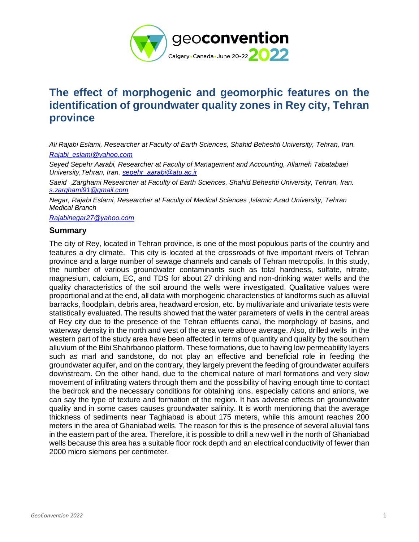

# **The effect of morphogenic and geomorphic features on the identification of groundwater quality zones in Rey city, Tehran province**

*Ali Rajabi Eslami, Researcher at Faculty of Earth Sciences, Shahid Beheshti University, Tehran, Iran. [Rajabi\\_eslami@yahoo.com](mailto:Rajabi_eslami@yahoo.com)*

*Seyed Sepehr Aarabi, Researcher at Faculty of Management and Accounting, Allameh Tabatabaei University,Tehran, Iran[. sepehr\\_aarabi@atu.ac.ir](mailto:sepehr_aarabi@atu.ac.ir)*

*Saeid ,Zarghami Researcher at Faculty of Earth Sciences, Shahid Beheshti University, Tehran, Iran. [s.zarghami91@gmail.com](mailto:s.zarghami91@gmail.com)*

*Negar, Rajabi Eslami, Researcher at Faculty of Medical Sciences ,Islamic Azad University, Tehran Medical Branch*

*[Rajabinegar27@yahoo.com](mailto:Rajabinegar27@yahoo.com)*

### **Summary**

The city of Rey, located in Tehran province, is one of the most populous parts of the country and features a dry climate. This city is located at the crossroads of five important rivers of Tehran province and a large number of sewage channels and canals of Tehran metropolis. In this study, the number of various groundwater contaminants such as total hardness, sulfate, nitrate, magnesium, calcium, EC, and TDS for about 27 drinking and non-drinking water wells and the quality characteristics of the soil around the wells were investigated. Qualitative values were proportional and at the end, all data with morphogenic characteristics of landforms such as alluvial barracks, floodplain, debris area, headward erosion, etc. by multivariate and univariate tests were statistically evaluated. The results showed that the water parameters of wells in the central areas of Rey city due to the presence of the Tehran effluents canal, the morphology of basins, and waterway density in the north and west of the area were above average. Also, drilled wells in the western part of the study area have been affected in terms of quantity and quality by the southern alluvium of the Bibi Shahrbanoo platform. These formations, due to having low permeability layers such as marl and sandstone, do not play an effective and beneficial role in feeding the groundwater aquifer, and on the contrary, they largely prevent the feeding of groundwater aquifers downstream. On the other hand, due to the chemical nature of marl formations and very slow movement of infiltrating waters through them and the possibility of having enough time to contact the bedrock and the necessary conditions for obtaining ions, especially cations and anions, we can say the type of texture and formation of the region. It has adverse effects on groundwater quality and in some cases causes groundwater salinity. It is worth mentioning that the average thickness of sediments near Taghiabad is about 175 meters, while this amount reaches 200 meters in the area of Ghaniabad wells. The reason for this is the presence of several alluvial fans in the eastern part of the area. Therefore, it is possible to drill a new well in the north of Ghaniabad wells because this area has a suitable floor rock depth and an electrical conductivity of fewer than 2000 micro siemens per centimeter.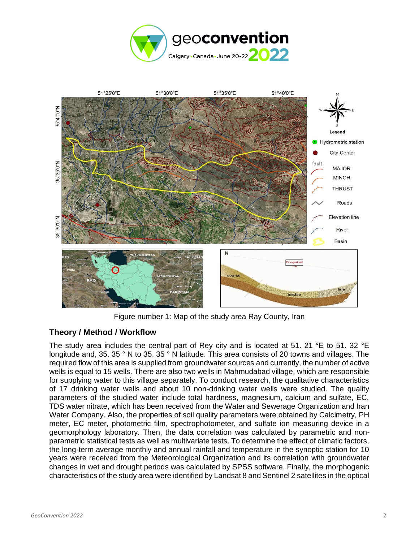



Figure number 1: Map of the study area Ray County, Iran

## **Theory / Method / Workflow**

The study area includes the central part of Rey city and is located at 51. 21 °E to 51. 32 °E longitude and, 35. 35 ° N to 35. 35 ° N latitude. This area consists of 20 towns and villages. The required flow of this area is supplied from groundwater sources and currently, the number of active wells is equal to 15 wells. There are also two wells in Mahmudabad village, which are responsible for supplying water to this village separately. To conduct research, the qualitative characteristics of 17 drinking water wells and about 10 non-drinking water wells were studied. The quality parameters of the studied water include total hardness, magnesium, calcium and sulfate, EC, TDS water nitrate, which has been received from the Water and Sewerage Organization and Iran Water Company. Also, the properties of soil quality parameters were obtained by Calcimetry, PH meter, EC meter, photometric film, spectrophotometer, and sulfate ion measuring device in a geomorphology laboratory. Then, the data correlation was calculated by parametric and nonparametric statistical tests as well as multivariate tests. To determine the effect of climatic factors, the long-term average monthly and annual rainfall and temperature in the synoptic station for 10 years were received from the Meteorological Organization and its correlation with groundwater changes in wet and drought periods was calculated by SPSS software. Finally, the morphogenic characteristics of the study area were identified by Landsat 8 and Sentinel 2 satellites in the optical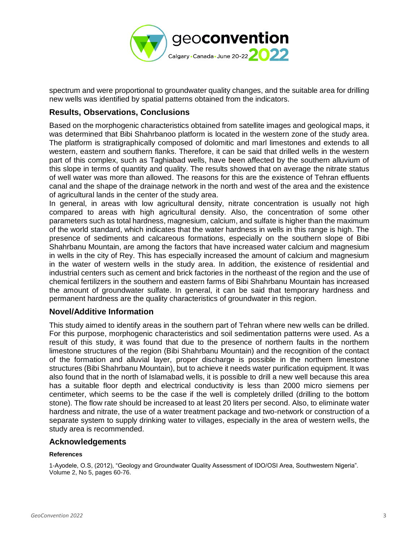

spectrum and were proportional to groundwater quality changes, and the suitable area for drilling new wells was identified by spatial patterns obtained from the indicators.

## **Results, Observations, Conclusions**

Based on the morphogenic characteristics obtained from satellite images and geological maps, it was determined that Bibi Shahrbanoo platform is located in the western zone of the study area. The platform is stratigraphically composed of dolomitic and marl limestones and extends to all western, eastern and southern flanks. Therefore, it can be said that drilled wells in the western part of this complex, such as Taghiabad wells, have been affected by the southern alluvium of this slope in terms of quantity and quality. The results showed that on average the nitrate status of well water was more than allowed. The reasons for this are the existence of Tehran effluents canal and the shape of the drainage network in the north and west of the area and the existence of agricultural lands in the center of the study area.

In general, in areas with low agricultural density, nitrate concentration is usually not high compared to areas with high agricultural density. Also, the concentration of some other parameters such as total hardness, magnesium, calcium, and sulfate is higher than the maximum of the world standard, which indicates that the water hardness in wells in this range is high. The presence of sediments and calcareous formations, especially on the southern slope of Bibi Shahrbanu Mountain, are among the factors that have increased water calcium and magnesium in wells in the city of Rey. This has especially increased the amount of calcium and magnesium in the water of western wells in the study area. In addition, the existence of residential and industrial centers such as cement and brick factories in the northeast of the region and the use of chemical fertilizers in the southern and eastern farms of Bibi Shahrbanu Mountain has increased the amount of groundwater sulfate. In general, it can be said that temporary hardness and permanent hardness are the quality characteristics of groundwater in this region.

## **Novel/Additive Information**

This study aimed to identify areas in the southern part of Tehran where new wells can be drilled. For this purpose, morphogenic characteristics and soil sedimentation patterns were used. As a result of this study, it was found that due to the presence of northern faults in the northern limestone structures of the region (Bibi Shahrbanu Mountain) and the recognition of the contact of the formation and alluvial layer, proper discharge is possible in the northern limestone structures (Bibi Shahrbanu Mountain), but to achieve it needs water purification equipment. It was also found that in the north of Islamabad wells, it is possible to drill a new well because this area has a suitable floor depth and electrical conductivity is less than 2000 micro siemens per centimeter, which seems to be the case if the well is completely drilled (drilling to the bottom stone). The flow rate should be increased to at least 20 liters per second. Also, to eliminate water hardness and nitrate, the use of a water treatment package and two-network or construction of a separate system to supply drinking water to villages, especially in the area of western wells, the study area is recommended.

#### **Acknowledgements**

#### **References**

1-Ayodele, O.S, (2012), "Geology and Groundwater Quality Assessment of IDO/OSI Area, Southwestern Nigeria". Volume 2, No 5, pages 60-76.